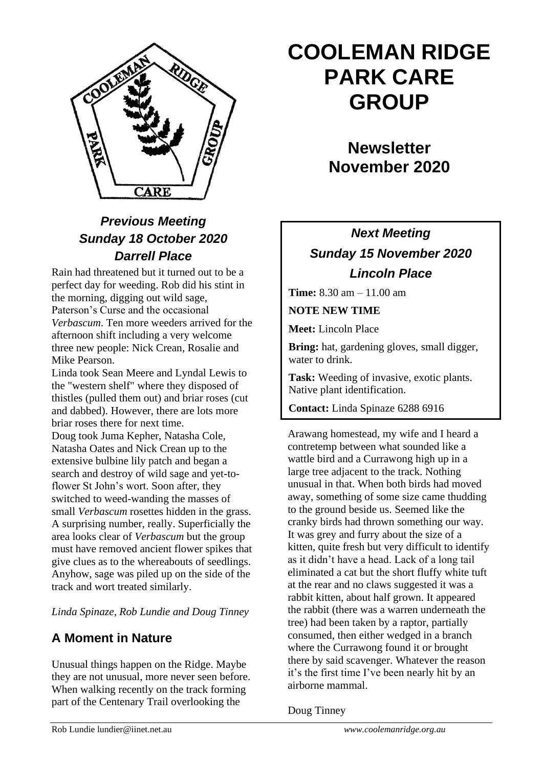

# *Previous Meeting Sunday 18 October 2020 Darrell Place*

Rain had threatened but it turned out to be a perfect day for weeding. Rob did his stint in the morning, digging out wild sage, Paterson's Curse and the occasional *Verbascum*. Ten more weeders arrived for the afternoon shift including a very welcome three new people: Nick Crean, Rosalie and Mike Pearson.

Linda took Sean Meere and Lyndal Lewis to the "western shelf" where they disposed of thistles (pulled them out) and briar roses (cut and dabbed). However, there are lots more briar roses there for next time.

Doug took Juma Kepher, Natasha Cole, Natasha Oates and Nick Crean up to the extensive bulbine lily patch and began a search and destroy of wild sage and yet-toflower St John's wort. Soon after, they switched to weed-wanding the masses of small *Verbascum* rosettes hidden in the grass. A surprising number, really. Superficially the area looks clear of *Verbascum* but the group must have removed ancient flower spikes that give clues as to the whereabouts of seedlings. Anyhow, sage was piled up on the side of the track and wort treated similarly.

*Linda Spinaze, Rob Lundie and Doug Tinney*

### **A Moment in Nature**

Unusual things happen on the Ridge. Maybe they are not unusual, more never seen before. When walking recently on the track forming part of the Centenary Trail overlooking the

# **COOLEMAN RIDGE PARK CARE GROUP**

# **Newsletter November 2020**

# *Next Meeting Sunday 15 November 2020 Lincoln Place*

**Time:** 8.30 am – 11.00 am

**NOTE NEW TIME**

**Meet:** Lincoln Place

**Bring:** hat, gardening gloves, small digger, water to drink.

**Task:** Weeding of invasive, exotic plants. Native plant identification.

**Contact:** Linda Spinaze 6288 6916

Arawang homestead, my wife and I heard a contretemp between what sounded like a wattle bird and a Currawong high up in a large tree adjacent to the track. Nothing unusual in that. When both birds had moved away, something of some size came thudding to the ground beside us. Seemed like the cranky birds had thrown something our way. It was grey and furry about the size of a kitten, quite fresh but very difficult to identify as it didn't have a head. Lack of a long tail eliminated a cat but the short fluffy white tuft at the rear and no claws suggested it was a rabbit kitten, about half grown. It appeared the rabbit (there was a warren underneath the tree) had been taken by a raptor, partially consumed, then either wedged in a branch where the Currawong found it or brought there by said scavenger. Whatever the reason it's the first time I've been nearly hit by an airborne mammal.  $\mathcal{L}$  meeting: Sun 20, Mt Arawang and Sun 20, Mt Arawang and Sun 20, Mt Arawang and Sun 20, Mt Arawang and Sun 20, Mt Arawang and Sun 20, Mt Arawang and Sun 20, Mt Arawang and Sun 20, Mt Arawang and Sun 20, Mt Arawang

Doug Tinney